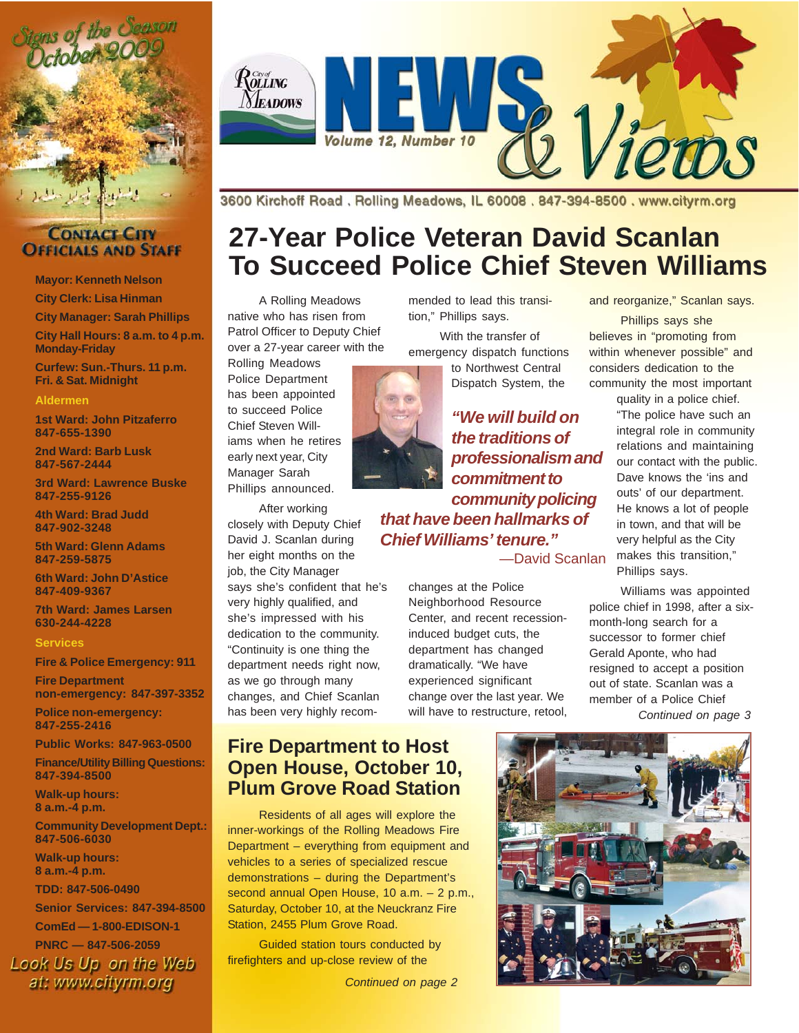



**Mayor: Kenneth Nelson**

**City Clerk: Lisa Hinman**

**City Manager: Sarah Phillips City Hall Hours: 8 a.m. to 4 p.m. Monday-Friday**

**Curfew: Sun.-Thurs. 11 p.m. Fri. & Sat. Midnight**

#### **Aldermen**

**1st Ward: John Pitzaferro 847-655-1390**

**2nd Ward: Barb Lusk 847-567-2444**

**3rd Ward: Lawrence Buske 847-255-9126**

**4th Ward: Brad Judd 847-902-3248**

**5th Ward: Glenn Adams 847-259-5875**

**6th Ward: John D'Astice 847-409-9367**

**7th Ward: James Larsen 630-244-4228**

#### **Services**

**Fire & Police Emergency: 911**

**Fire Department non-emergency: 847-397-3352**

**Police non-emergency: 847-255-2416**

**Public Works: 847-963-0500**

**Finance/Utility Billing Questions: 847-394-8500**

**Walk-up hours: 8 a.m.-4 p.m.**

**Community Development Dept.: 847-506-6030**

**Walk-up hours: 8 a.m.-4 p.m.**

**TDD: 847-506-0490**

**Senior Services: 847-394-8500**

**ComEd — 1-800-EDISON-1**

**PNRC — 847-506-2059** Look Us Up on the Web at: www.cityrm.org



3600 Kirchoff Road, Rolling Meadows, IL 60008, 847-394-8500, www.cityrm.org

## **27-Year Police Veteran David Scanlan To Succeed Police Chief Steven Williams**

A Rolling Meadows native who has risen from Patrol Officer to Deputy Chief over a 27-year career with the

Rolling Meadows Police Department has been appointed to succeed Police Chief Steven Williams when he retires early next year, City Manager Sarah Phillips announced.

After working closely with Deputy Chief David J. Scanlan during her eight months on the job, the City Manager says she's confident that he's very highly qualified, and she's impressed with his dedication to the community. "Continuity is one thing the department needs right now, as we go through many changes, and Chief Scanlan has been very highly recommended to lead this transition," Phillips says.

With the transfer of emergency dispatch functions to Northwest Central

Dispatch System, the

*"We will build on the traditions of professionalism and commitment to community policing that have been hallmarks of Chief Williams' tenure."* —David Scanlan

> changes at the Police Neighborhood Resource Center, and recent recessioninduced budget cuts, the department has changed dramatically. "We have experienced significant change over the last year. We will have to restructure, retool,

#### and reorganize," Scanlan says.

Phillips says she believes in "promoting from within whenever possible" and considers dedication to the community the most important

quality in a police chief. "The police have such an integral role in community relations and maintaining our contact with the public. Dave knows the 'ins and outs' of our department. He knows a lot of people in town, and that will be very helpful as the City makes this transition," Phillips says.

Williams was appointed police chief in 1998, after a sixmonth-long search for a successor to former chief Gerald Aponte, who had resigned to accept a position out of state. Scanlan was a member of a Police Chief *Continued on page 3*

**Fire Department to Host Open House, October 10, Plum Grove Road Station**

Residents of all ages will explore the inner-workings of the Rolling Meadows Fire Department – everything from equipment and vehicles to a series of specialized rescue demonstrations – during the Department's second annual Open House, 10 a.m. – 2 p.m., Saturday, October 10, at the Neuckranz Fire Station, 2455 Plum Grove Road.

Guided station tours conducted by firefighters and up-close review of the

*Continued on page 2*

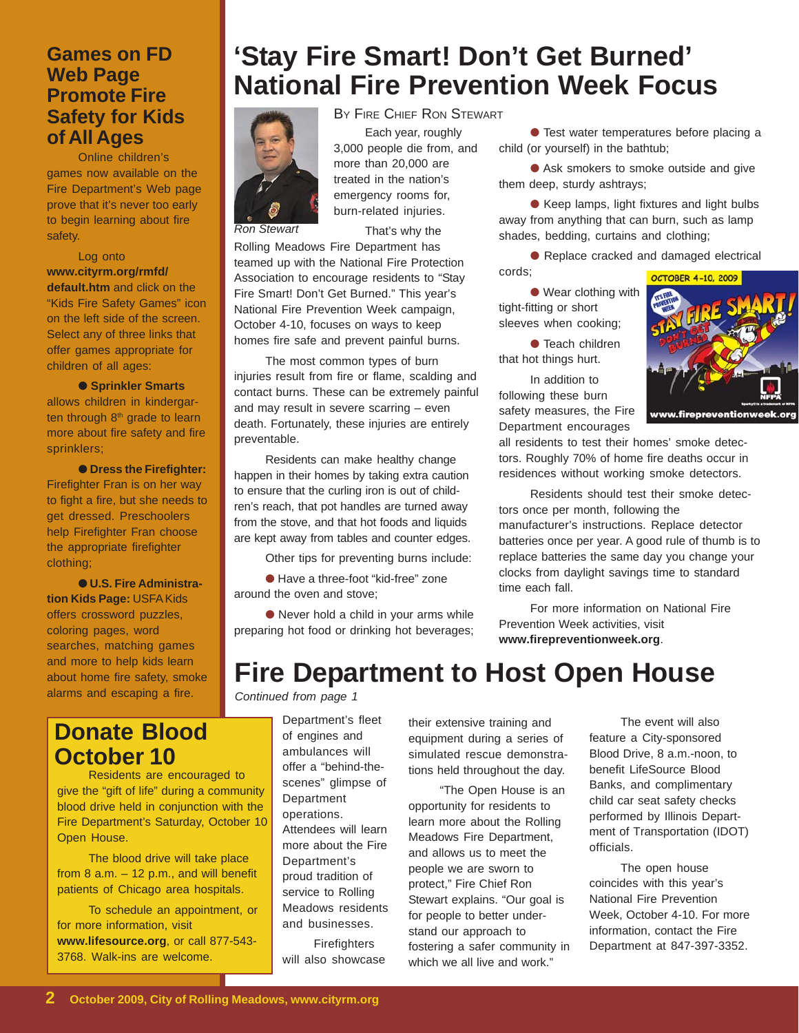#### **Games on FD Web Page Promote Fire Safety for Kids of All Ages**

Online children's games now available on the Fire Department's Web page prove that it's never too early to begin learning about fire safety.

Log onto **www.cityrm.org/rmfd/ default.htm** and click on the "Kids Fire Safety Games" icon on the left side of the screen. Select any of three links that offer games appropriate for children of all ages:

● **Sprinkler Smarts** allows children in kindergarten through  $8<sup>th</sup>$  grade to learn more about fire safety and fire sprinklers;

● **Dress the Firefighter:** Firefighter Fran is on her way to fight a fire, but she needs to get dressed. Preschoolers help Firefighter Fran choose the appropriate firefighter clothing;

● **U.S. Fire Administration Kids Page:** USFA Kids offers crossword puzzles, coloring pages, word searches, matching games and more to help kids learn about home fire safety, smoke alarms and escaping a fire.

### **Donate Blood October 10**

Residents are encouraged to give the "gift of life" during a community blood drive held in conjunction with the Fire Department's Saturday, October 10 Open House.

The blood drive will take place from 8 a.m. – 12 p.m., and will benefit patients of Chicago area hospitals.

To schedule an appointment, or for more information, visit **www.lifesource.org**, or call 877-543- 3768. Walk-ins are welcome.

## **'Stay Fire Smart! Don't Get Burned' National Fire Prevention Week Focus**



Each year, roughly more than 20,000 are treated in the nation's emergency rooms for, burn-related injuries. BY FIRE CHIEF RON STEWART

*Ron Stewart*

3,000 people die from, and

That's why the

Rolling Meadows Fire Department has teamed up with the National Fire Protection Association to encourage residents to "Stay Fire Smart! Don't Get Burned." This year's National Fire Prevention Week campaign, October 4-10, focuses on ways to keep homes fire safe and prevent painful burns.

The most common types of burn injuries result from fire or flame, scalding and contact burns. These can be extremely painful and may result in severe scarring – even death. Fortunately, these injuries are entirely preventable.

Residents can make healthy change happen in their homes by taking extra caution to ensure that the curling iron is out of children's reach, that pot handles are turned away from the stove, and that hot foods and liquids are kept away from tables and counter edges.

Other tips for preventing burns include:

● Have a three-foot "kid-free" zone around the oven and stove;

● Never hold a child in your arms while preparing hot food or drinking hot beverages;

● Test water temperatures before placing a child (or yourself) in the bathtub;

● Ask smokers to smoke outside and give them deep, sturdy ashtrays;

● Keep lamps, light fixtures and light bulbs away from anything that can burn, such as lamp shades, bedding, curtains and clothing;

● Replace cracked and damaged electrical

● Wear clothing with tight-fitting or short sleeves when cooking;

cords;

● Teach children that hot things hurt.

In addition to following these burn safety measures, the Fire Department encourages

all residents to test their homes' smoke detectors. Roughly 70% of home fire deaths occur in residences without working smoke detectors.

Residents should test their smoke detectors once per month, following the manufacturer's instructions. Replace detector batteries once per year. A good rule of thumb is to replace batteries the same day you change your clocks from daylight savings time to standard time each fall.

For more information on National Fire Prevention Week activities, visit **www.firepreventionweek.org**.

### **Fire Department to Host Open House**

*Continued from page 1*

Department's fleet of engines and ambulances will offer a "behind-thescenes" glimpse of **Department** operations. Attendees will learn more about the Fire Department's proud tradition of service to Rolling Meadows residents and businesses.

**Firefighters** will also showcase their extensive training and equipment during a series of simulated rescue demonstrations held throughout the day.

"The Open House is an opportunity for residents to learn more about the Rolling Meadows Fire Department, and allows us to meet the people we are sworn to protect," Fire Chief Ron Stewart explains. "Our goal is for people to better understand our approach to fostering a safer community in which we all live and work."

The event will also feature a City-sponsored Blood Drive, 8 a.m.-noon, to benefit LifeSource Blood Banks, and complimentary child car seat safety checks performed by Illinois Department of Transportation (IDOT) officials.

The open house coincides with this year's National Fire Prevention Week, October 4-10. For more information, contact the Fire Department at 847-397-3352.

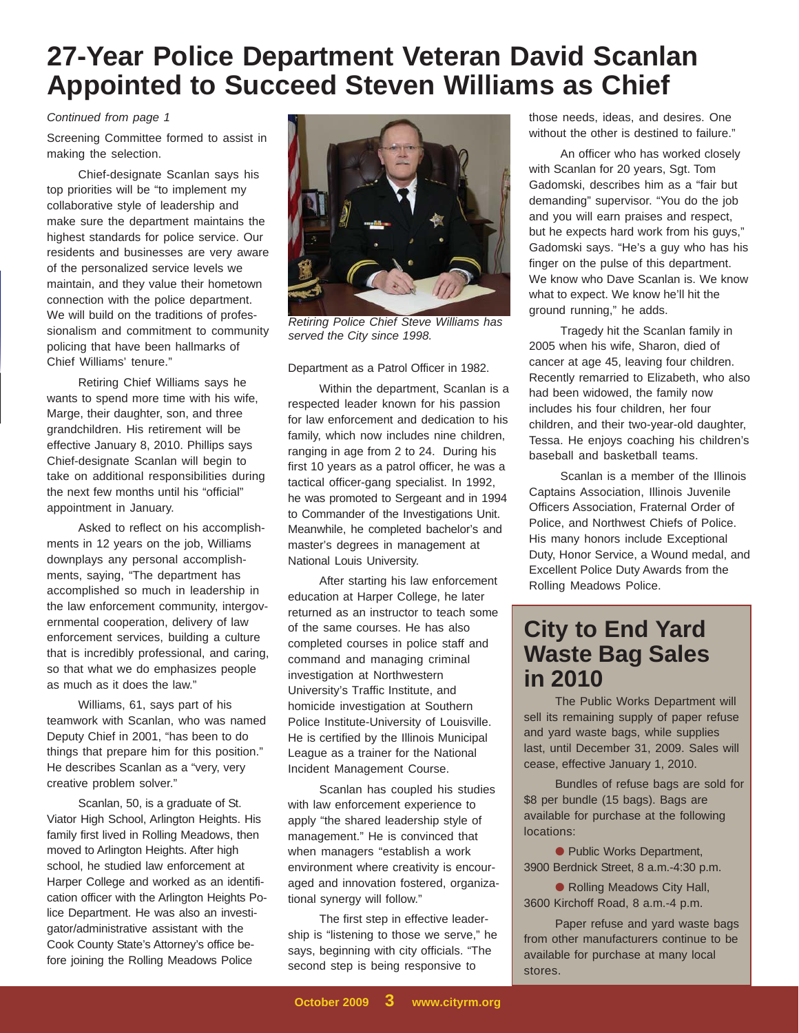### **27-Year Police Department Veteran David Scanlan Appointed to Succeed Steven Williams as Chief**

*Continued from page 1*

Screening Committee formed to assist in making the selection.

Chief-designate Scanlan says his top priorities will be "to implement my collaborative style of leadership and make sure the department maintains the highest standards for police service. Our residents and businesses are very aware of the personalized service levels we maintain, and they value their hometown connection with the police department. We will build on the traditions of professionalism and commitment to community policing that have been hallmarks of Chief Williams' tenure."

Retiring Chief Williams says he wants to spend more time with his wife, Marge, their daughter, son, and three grandchildren. His retirement will be effective January 8, 2010. Phillips says Chief-designate Scanlan will begin to take on additional responsibilities during the next few months until his "official" appointment in January.

Asked to reflect on his accomplishments in 12 years on the job, Williams downplays any personal accomplishments, saying, "The department has accomplished so much in leadership in the law enforcement community, intergovernmental cooperation, delivery of law enforcement services, building a culture that is incredibly professional, and caring, so that what we do emphasizes people as much as it does the law."

Williams, 61, says part of his teamwork with Scanlan, who was named Deputy Chief in 2001, "has been to do things that prepare him for this position." He describes Scanlan as a "very, very creative problem solver."

Scanlan, 50, is a graduate of St. Viator High School, Arlington Heights. His family first lived in Rolling Meadows, then moved to Arlington Heights. After high school, he studied law enforcement at Harper College and worked as an identification officer with the Arlington Heights Police Department. He was also an investigator/administrative assistant with the Cook County State's Attorney's office before joining the Rolling Meadows Police



*Retiring Police Chief Steve Williams has served the City since 1998.*

#### Department as a Patrol Officer in 1982.

Within the department, Scanlan is a respected leader known for his passion for law enforcement and dedication to his family, which now includes nine children, ranging in age from 2 to 24. During his first 10 years as a patrol officer, he was a tactical officer-gang specialist. In 1992, he was promoted to Sergeant and in 1994 to Commander of the Investigations Unit. Meanwhile, he completed bachelor's and master's degrees in management at National Louis University.

After starting his law enforcement education at Harper College, he later returned as an instructor to teach some of the same courses. He has also completed courses in police staff and command and managing criminal investigation at Northwestern University's Traffic Institute, and homicide investigation at Southern Police Institute-University of Louisville. He is certified by the Illinois Municipal League as a trainer for the National Incident Management Course.

Scanlan has coupled his studies with law enforcement experience to apply "the shared leadership style of management." He is convinced that when managers "establish a work environment where creativity is encouraged and innovation fostered, organizational synergy will follow."

The first step in effective leadership is "listening to those we serve," he says, beginning with city officials. "The second step is being responsive to

those needs, ideas, and desires. One without the other is destined to failure."

An officer who has worked closely with Scanlan for 20 years, Sgt. Tom Gadomski, describes him as a "fair but demanding" supervisor. "You do the job and you will earn praises and respect, but he expects hard work from his guys," Gadomski says. "He's a guy who has his finger on the pulse of this department. We know who Dave Scanlan is. We know what to expect. We know he'll hit the ground running," he adds.

Tragedy hit the Scanlan family in 2005 when his wife, Sharon, died of cancer at age 45, leaving four children. Recently remarried to Elizabeth, who also had been widowed, the family now includes his four children, her four children, and their two-year-old daughter, Tessa. He enjoys coaching his children's baseball and basketball teams.

Scanlan is a member of the Illinois Captains Association, Illinois Juvenile Officers Association, Fraternal Order of Police, and Northwest Chiefs of Police. His many honors include Exceptional Duty, Honor Service, a Wound medal, and Excellent Police Duty Awards from the Rolling Meadows Police.

### **City to End Yard Waste Bag Sales in 2010**

The Public Works Department will sell its remaining supply of paper refuse and yard waste bags, while supplies last, until December 31, 2009. Sales will cease, effective January 1, 2010.

Bundles of refuse bags are sold for \$8 per bundle (15 bags). Bags are available for purchase at the following locations:

● Public Works Department, 3900 Berdnick Street, 8 a.m.-4:30 p.m.

● Rolling Meadows City Hall, 3600 Kirchoff Road, 8 a.m.-4 p.m.

Paper refuse and yard waste bags from other manufacturers continue to be available for purchase at many local stores.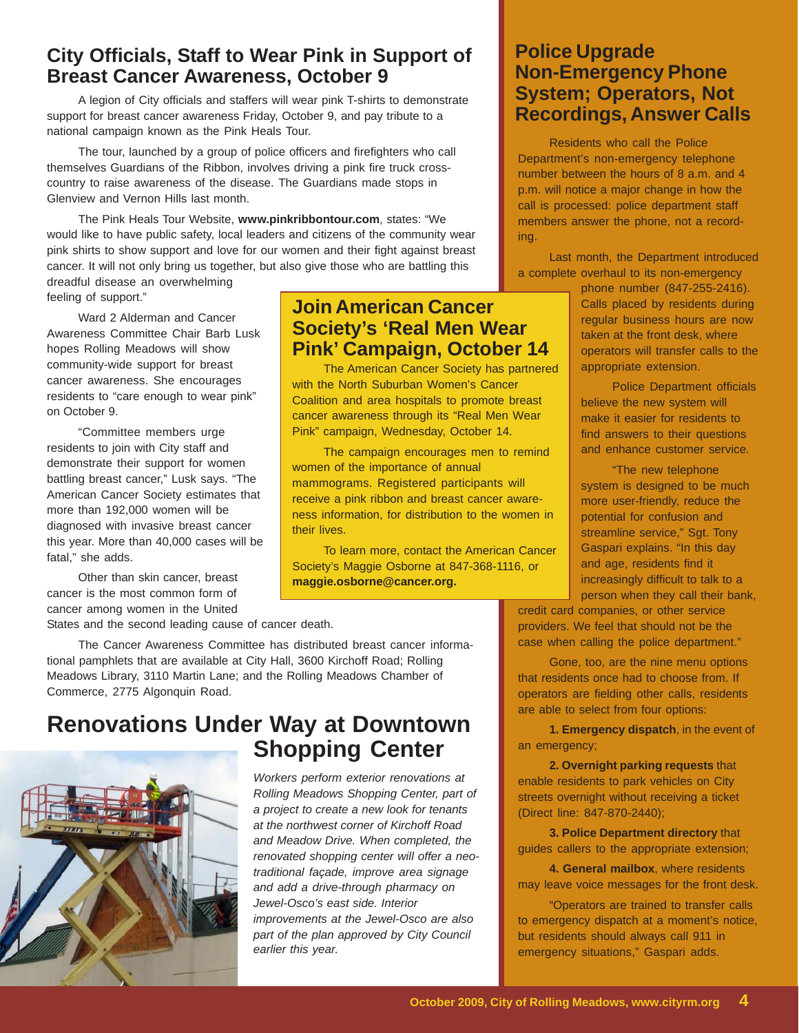### **City Officials, Staff to Wear Pink in Support of Breast Cancer Awareness, October 9**

A legion of City officials and staffers will wear pink T-shirts to demonstrate support for breast cancer awareness Friday, October 9, and pay tribute to a national campaign known as the Pink Heals Tour.

The tour, launched by a group of police officers and firefighters who call themselves Guardians of the Ribbon, involves driving a pink fire truck crosscountry to raise awareness of the disease. The Guardians made stops in Glenview and Vernon Hills last month.

The Pink Heals Tour Website, **www.pinkribbontour.com**, states: "We would like to have public safety, local leaders and citizens of the community wear pink shirts to show support and love for our women and their fight against breast cancer. It will not only bring us together, but also give those who are battling this

dreadful disease an overwhelming feeling of support."

Ward 2 Alderman and Cancer Awareness Committee Chair Barb Lusk hopes Rolling Meadows will show community-wide support for breast cancer awareness. She encourages residents to "care enough to wear pink" on October 9.

"Committee members urge residents to join with City staff and demonstrate their support for women battling breast cancer," Lusk says. "The American Cancer Society estimates that more than 192,000 women will be diagnosed with invasive breast cancer this year. More than 40,000 cases will be fatal," she adds.

Other than skin cancer, breast cancer is the most common form of cancer among women in the United

States and the second leading cause of cancer death.

The Cancer Awareness Committee has distributed breast cancer informational pamphlets that are available at City Hall, 3600 Kirchoff Road; Rolling Meadows Library, 3110 Martin Lane; and the Rolling Meadows Chamber of Commerce, 2775 Algonquin Road.

### **Renovations Under Way at Downtown Shopping Center**



*Workers perform exterior renovations at Rolling Meadows Shopping Center, part of a project to create a new look for tenants at the northwest corner of Kirchoff Road and Meadow Drive. When completed, the renovated shopping center will offer a neotraditional façade, improve area signage and add a drive-through pharmacy on Jewel-Osco's east side. Interior improvements at the Jewel-Osco are also part of the plan approved by City Council earlier this year.*

**Join American Cancer**

**Society's 'Real Men Wear Pink' Campaign, October 14**

with the North Suburban Women's Cancer Coalition and area hospitals to promote breast cancer awareness through its "Real Men Wear Pink" campaign, Wednesday, October 14.

mammograms. Registered participants will receive a pink ribbon and breast cancer awareness information, for distribution to the women in

Society's Maggie Osborne at 847-368-1116, or

women of the importance of annual

**maggie.osborne@cancer.org.**

their lives.

The American Cancer Society has partnered

The campaign encourages men to remind

To learn more, contact the American Cancer

#### **Police Upgrade Non-Emergency Phone System; Operators, Not Recordings, Answer Calls**

Residents who call the Police Department's non-emergency telephone number between the hours of 8 a.m. and 4 p.m. will notice a major change in how the call is processed: police department staff members answer the phone, not a recording.

Last month, the Department introduced a complete overhaul to its non-emergency

phone number (847-255-2416). Calls placed by residents during regular business hours are now taken at the front desk, where operators will transfer calls to the appropriate extension.

Police Department officials believe the new system will make it easier for residents to find answers to their questions and enhance customer service.

"The new telephone system is designed to be much more user-friendly, reduce the potential for confusion and streamline service," Sgt. Tony Gaspari explains. "In this day and age, residents find it increasingly difficult to talk to a person when they call their bank,

credit card companies, or other service providers. We feel that should not be the case when calling the police department."

Gone, too, are the nine menu options that residents once had to choose from. If operators are fielding other calls, residents are able to select from four options:

**1. Emergency dispatch**, in the event of an emergency;

**2. Overnight parking requests** that enable residents to park vehicles on City streets overnight without receiving a ticket (Direct line: 847-870-2440);

**3. Police Department directory** that guides callers to the appropriate extension;

**4. General mailbox**, where residents may leave voice messages for the front desk.

"Operators are trained to transfer calls to emergency dispatch at a moment's notice, but residents should always call 911 in emergency situations," Gaspari adds.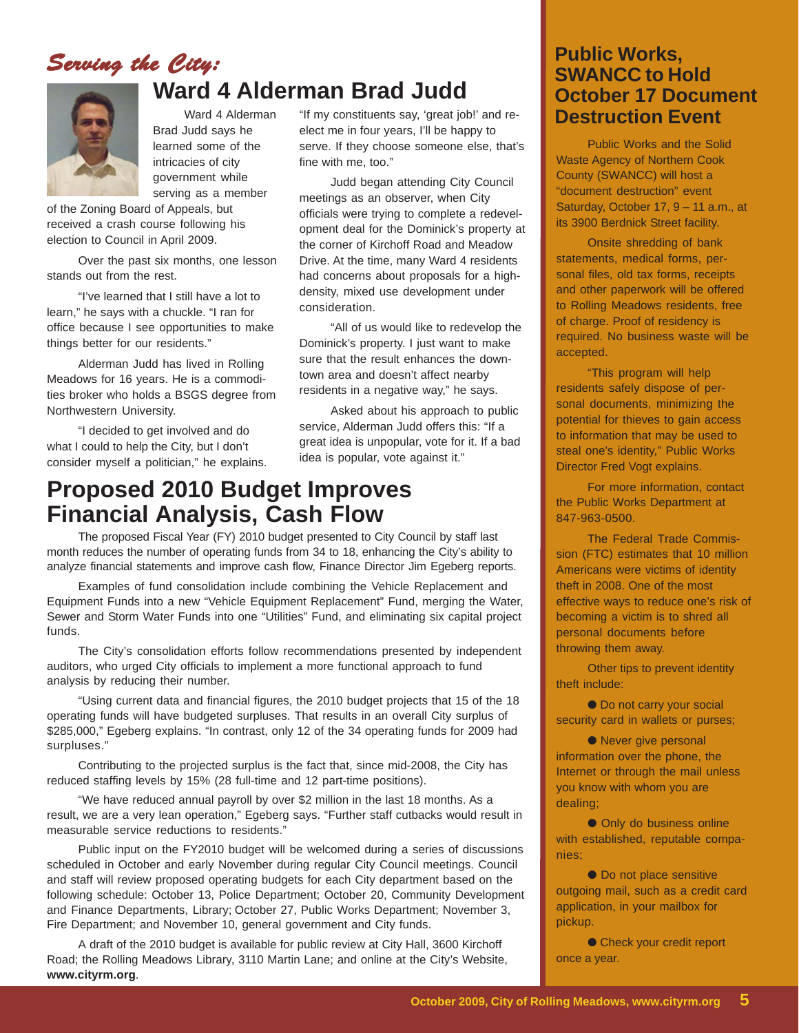### *Serving the City: ving the City:*



### **Ward 4 Alderman Brad Judd**

Brad Judd says he learned some of the intricacies of city government while serving as a member

of the Zoning Board of Appeals, but received a crash course following his election to Council in April 2009.

Over the past six months, one lesson stands out from the rest.

"I've learned that I still have a lot to learn," he says with a chuckle. "I ran for office because I see opportunities to make things better for our residents."

Alderman Judd has lived in Rolling Meadows for 16 years. He is a commodities broker who holds a BSGS degree from Northwestern University.

"I decided to get involved and do what I could to help the City, but I don't consider myself a politician," he explains.

Ward 4 Alderman **Destruction Event** "If my constituents say, 'great job!' and reelect me in four years, I'll be happy to serve. If they choose someone else, that's fine with me, too."

> Judd began attending City Council meetings as an observer, when City officials were trying to complete a redevelopment deal for the Dominick's property at the corner of Kirchoff Road and Meadow Drive. At the time, many Ward 4 residents had concerns about proposals for a highdensity, mixed use development under consideration.

"All of us would like to redevelop the Dominick's property. I just want to make sure that the result enhances the downtown area and doesn't affect nearby residents in a negative way," he says.

Asked about his approach to public service, Alderman Judd offers this: "If a great idea is unpopular, vote for it. If a bad idea is popular, vote against it."

### **Proposed 2010 Budget Improves Financial Analysis, Cash Flow**

The proposed Fiscal Year (FY) 2010 budget presented to City Council by staff last month reduces the number of operating funds from 34 to 18, enhancing the City's ability to analyze financial statements and improve cash flow, Finance Director Jim Egeberg reports.

Examples of fund consolidation include combining the Vehicle Replacement and Equipment Funds into a new "Vehicle Equipment Replacement" Fund, merging the Water, Sewer and Storm Water Funds into one "Utilities" Fund, and eliminating six capital project funds.

The City's consolidation efforts follow recommendations presented by independent auditors, who urged City officials to implement a more functional approach to fund analysis by reducing their number.

"Using current data and financial figures, the 2010 budget projects that 15 of the 18 operating funds will have budgeted surpluses. That results in an overall City surplus of \$285,000," Egeberg explains. "In contrast, only 12 of the 34 operating funds for 2009 had surpluses."

Contributing to the projected surplus is the fact that, since mid-2008, the City has reduced staffing levels by 15% (28 full-time and 12 part-time positions).

"We have reduced annual payroll by over \$2 million in the last 18 months. As a result, we are a very lean operation," Egeberg says. "Further staff cutbacks would result in measurable service reductions to residents."

Public input on the FY2010 budget will be welcomed during a series of discussions scheduled in October and early November during regular City Council meetings. Council and staff will review proposed operating budgets for each City department based on the following schedule: October 13, Police Department; October 20, Community Development and Finance Departments, Library; October 27, Public Works Department; November 3, Fire Department; and November 10, general government and City funds.

A draft of the 2010 budget is available for public review at City Hall, 3600 Kirchoff Road; the Rolling Meadows Library, 3110 Martin Lane; and online at the City's Website, **www.cityrm.org**.

### **Public Works, SWANCC to Hold October 17 Document**

Public Works and the Solid Waste Agency of Northern Cook County (SWANCC) will host a "document destruction" event Saturday, October 17, 9 – 11 a.m., at its 3900 Berdnick Street facility.

Onsite shredding of bank statements, medical forms, personal files, old tax forms, receipts and other paperwork will be offered to Rolling Meadows residents, free of charge. Proof of residency is required. No business waste will be accepted.

"This program will help residents safely dispose of personal documents, minimizing the potential for thieves to gain access to information that may be used to steal one's identity," Public Works Director Fred Vogt explains.

For more information, contact the Public Works Department at 847-963-0500.

The Federal Trade Commission (FTC) estimates that 10 million Americans were victims of identity theft in 2008. One of the most effective ways to reduce one's risk of becoming a victim is to shred all personal documents before throwing them away.

Other tips to prevent identity theft include:

● Do not carry your social security card in wallets or purses;

● Never give personal information over the phone, the Internet or through the mail unless you know with whom you are dealing;

● Only do business online with established, reputable companies;

● Do not place sensitive outgoing mail, such as a credit card application, in your mailbox for pickup.

● Check your credit report once a year.